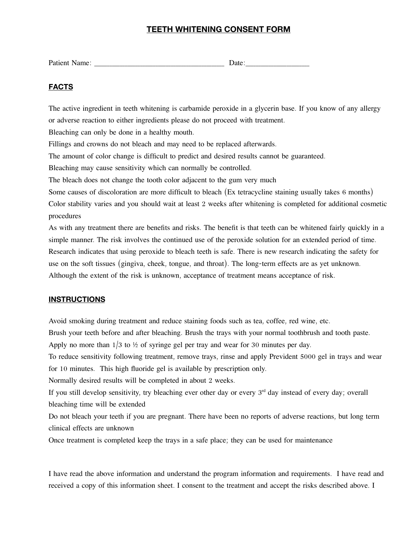## **TEETH WHITENING CONSENT FORM**

| $\overline{\phantom{a}}$<br>''<br>້<br>T MATAIR T |  |  |
|---------------------------------------------------|--|--|
|---------------------------------------------------|--|--|

## **FACTS**

The active ingredient in teeth whitening is carbamide peroxide in a glycerin base. If you know of any allergy or adverse reaction to either ingredients please do not proceed with treatment. Bleaching can only be done in a healthy mouth. Fillings and crowns do not bleach and may need to be replaced afterwards. The amount of color change is difficult to predict and desired results cannot be guaranteed. Bleaching may cause sensitivity which can normally be controlled. The bleach does not change the tooth color adjacent to the gum very much Some causes of discoloration are more difficult to bleach (Ex tetracycline staining usually takes 6 months) Color stability varies and you should wait at least 2 weeks after whitening is completed for additional cosmetic procedures

As with any treatment there are benefits and risks. The benefit is that teeth can be whitened fairly quickly in a simple manner. The risk involves the continued use of the peroxide solution for an extended period of time. Research indicates that using peroxide to bleach teeth is safe. There is new research indicating the safety for use on the soft tissues (gingiva, cheek, tongue, and throat). The long-term effects are as yet unknown. Although the extent of the risk is unknown, acceptance of treatment means acceptance of risk.

## **INSTRUCTIONS**

Avoid smoking during treatment and reduce staining foods such as tea, coffee, red wine, etc.

Brush your teeth before and after bleaching. Brush the trays with your normal toothbrush and tooth paste.

Apply no more than  $1/3$  to  $\frac{1}{2}$  of syringe gel per tray and wear for 30 minutes per day.

To reduce sensitivity following treatment, remove trays, rinse and apply Prevident 5000 gel in trays and wear for 10 minutes. This high fluoride gel is available by prescription only.

Normally desired results will be completed in about 2 weeks.

If you still develop sensitivity, try bleaching ever other day or every 3<sup>rd</sup> day instead of every day; overall bleaching time will be extended

Do not bleach your teeth if you are pregnant. There have been no reports of adverse reactions, but long term clinical effects are unknown

Once treatment is completed keep the trays in a safe place; they can be used for maintenance

I have read the above information and understand the program information and requirements. I have read and received a copy of this information sheet. I consent to the treatment and accept the risks described above. I